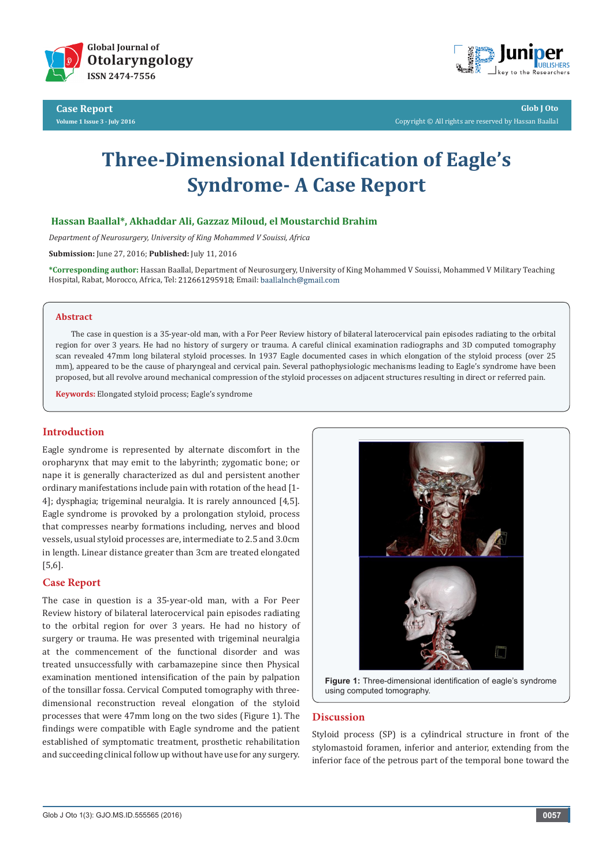

**Case Report Volume 1 Issue 3 - July 2016**



**Glob J Oto** Copyright © All rights are reserved by Hassan Baallal

# **Three-Dimensional Identification of Eagle's Syndrome- A Case Report**

## **Hassan Baallal\*, Akhaddar Ali, Gazzaz Miloud, el Moustarchid Brahim**

*Department of Neurosurgery, University of King Mohammed V Souissi, Africa*

**Submission:** June 27, 2016; **Published:** July 11, 2016

**\*Corresponding author:** Hassan Baallal, Department of Neurosurgery, University of King Mohammed V Souissi, Mohammed V Military Teaching Hospital, Rabat, Morocco, Africa, Tel: 212661295918; Email: baallalnch@gmail.com

#### **Abstract**

The case in question is a 35-year-old man, with a For Peer Review history of bilateral laterocervical pain episodes radiating to the orbital region for over 3 years. He had no history of surgery or trauma. A careful clinical examination radiographs and 3D computed tomography scan revealed 47mm long bilateral styloid processes. In 1937 Eagle documented cases in which elongation of the styloid process (over 25 mm), appeared to be the cause of pharyngeal and cervical pain. Several pathophysiologic mechanisms leading to Eagle's syndrome have been proposed, but all revolve around mechanical compression of the styloid processes on adjacent structures resulting in direct or referred pain.

**Keywords:** Elongated styloid process; Eagle's syndrome

#### **Introduction**

Eagle syndrome is represented by alternate discomfort in the oropharynx that may emit to the labyrinth; zygomatic bone; or nape it is generally characterized as dul and persistent another ordinary manifestations include pain with rotation of the head [1- 4]; dysphagia; trigeminal neuralgia. It is rarely announced [4,5]. Eagle syndrome is provoked by a prolongation styloid, process that compresses nearby formations including, nerves and blood vessels, usual styloid processes are, intermediate to 2.5 and 3.0cm in length. Linear distance greater than 3cm are treated elongated [5,6].

## **Case Report**

The case in question is a 35-year-old man, with a For Peer Review history of bilateral laterocervical pain episodes radiating to the orbital region for over 3 years. He had no history of surgery or trauma. He was presented with trigeminal neuralgia at the commencement of the functional disorder and was treated unsuccessfully with carbamazepine since then Physical examination mentioned intensification of the pain by palpation of the tonsillar fossa. Cervical Computed tomography with threedimensional reconstruction reveal elongation of the styloid processes that were 47mm long on the two sides (Figure 1). The findings were compatible with Eagle syndrome and the patient established of symptomatic treatment, prosthetic rehabilitation and succeeding clinical follow up without have use for any surgery.



**Figure 1:** Three-dimensional identification of eagle's syndrome using computed tomography.

## **Discussion**

Styloid process (SP) is a cylindrical structure in front of the stylomastoid foramen, inferior and anterior, extending from the inferior face of the petrous part of the temporal bone toward the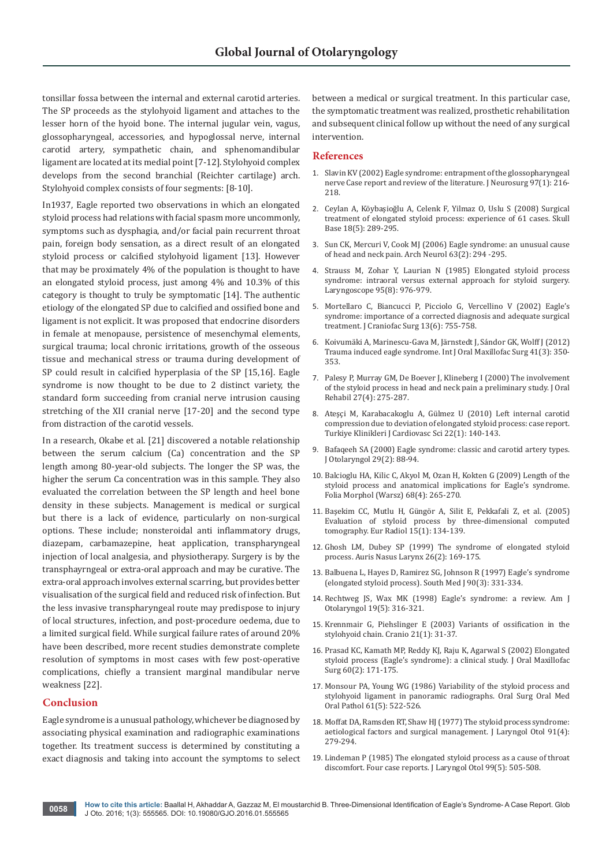tonsillar fossa between the internal and external carotid arteries. The SP proceeds as the stylohyoid ligament and attaches to the lesser horn of the hyoid bone. The internal jugular vein, vagus, glossopharyngeal, accessories, and hypoglossal nerve, internal carotid artery, sympathetic chain, and sphenomandibular ligament are located at its medial point [7-12]. Stylohyoid complex develops from the second branchial (Reichter cartilage) arch. Stylohyoid complex consists of four segments: [8-10].

In1937, Eagle reported two observations in which an elongated styloid process had relations with facial spasm more uncommonly, symptoms such as dysphagia, and/or facial pain recurrent throat pain, foreign body sensation, as a direct result of an elongated styloid process or calcified stylohyoid ligament [13]. However that may be proximately 4% of the population is thought to have an elongated styloid process, just among 4% and 10.3% of this category is thought to truly be symptomatic [14]. The authentic etiology of the elongated SP due to calcified and ossified bone and ligament is not explicit. It was proposed that endocrine disorders in female at menopause, persistence of mesenchymal elements, surgical trauma; local chronic irritations, growth of the osseous tissue and mechanical stress or trauma during development of SP could result in calcified hyperplasia of the SP [15,16]. Eagle syndrome is now thought to be due to 2 distinct variety, the standard form succeeding from cranial nerve intrusion causing stretching of the XII cranial nerve [17-20] and the second type from distraction of the carotid vessels.

In a research, Okabe et al. [21] discovered a notable relationship between the serum calcium (Ca) concentration and the SP length among 80-year-old subjects. The longer the SP was, the higher the serum Ca concentration was in this sample. They also evaluated the correlation between the SP length and heel bone density in these subjects. Management is medical or surgical but there is a lack of evidence, particularly on non-surgical options. These include; nonsteroidal anti inflammatory drugs, diazepam, carbamazepine, heat application, transpharyngeal injection of local analgesia, and physiotherapy. Surgery is by the transphayrngeal or extra-oral approach and may be curative. The extra-oral approach involves external scarring, but provides better visualisation of the surgical field and reduced risk of infection. But the less invasive transpharyngeal route may predispose to injury of local structures, infection, and post-procedure oedema, due to a limited surgical field. While surgical failure rates of around 20% have been described, more recent studies demonstrate complete resolution of symptoms in most cases with few post-operative complications, chiefly a transient marginal mandibular nerve weakness [22].

#### **Conclusion**

Eagle syndrome is a unusual pathology, whichever be diagnosed by associating physical examination and radiographic examinations together. Its treatment success is determined by constituting a exact diagnosis and taking into account the symptoms to select between a medical or surgical treatment. In this particular case, the symptomatic treatment was realized, prosthetic rehabilitation and subsequent clinical follow up without the need of any surgical intervention.

#### **References**

- 1. [Slavin KV \(2002\) Eagle syndrome: entrapment of the glossopharyngeal](http://www.ncbi.nlm.nih.gov/pubmed/12134918)  [nerve Case report and review of the literature. J Neurosurg 97\(1\): 216-](http://www.ncbi.nlm.nih.gov/pubmed/12134918) [218.](http://www.ncbi.nlm.nih.gov/pubmed/12134918)
- 2. [Ceylan A, Köybaşioğlu A, Celenk F, Yilmaz O, Uslu S \(2008\) Surgical](http://www.ncbi.nlm.nih.gov/pubmed/19240828)  [treatment of elongated styloid process: experience of 61 cases. Skull](http://www.ncbi.nlm.nih.gov/pubmed/19240828)  [Base 18\(5\): 289-295.](http://www.ncbi.nlm.nih.gov/pubmed/19240828)
- 3. [Sun CK, Mercuri V, Cook MJ \(2006\) Eagle syndrome: an unusual cause](http://www.ncbi.nlm.nih.gov/pubmed/16476824)  [of head and neck pain. Arch Neurol 63\(2\): 294 -295.](http://www.ncbi.nlm.nih.gov/pubmed/16476824)
- 4. [Strauss M, Zohar Y, Laurian N \(1985\) Elongated styloid process](http://www.ncbi.nlm.nih.gov/pubmed/4021692)  [syndrome: intraoral versus external approach for styloid surgery.](http://www.ncbi.nlm.nih.gov/pubmed/4021692)  [Laryngoscope 95\(8\): 976-979.](http://www.ncbi.nlm.nih.gov/pubmed/4021692)
- 5. [Mortellaro C, Biancucci P, Picciolo G, Vercellino V \(2002\) Eagle's](http://www.ncbi.nlm.nih.gov/pubmed/12457088)  [syndrome: importance of a corrected diagnosis and adequate surgical](http://www.ncbi.nlm.nih.gov/pubmed/12457088)  [treatment. J Craniofac Surg 13\(6\): 755-758.](http://www.ncbi.nlm.nih.gov/pubmed/12457088)
- 6. Koivumäki A, Marinescu-Gava M, J[ärnstedt J, Sándor GK, Wolff J \(2012\)](http://www.ncbi.nlm.nih.gov/pubmed/22244077)  [Trauma induced eagle syndrome. Int J Oral Maxillofac Surg 41\(3\): 350-](http://www.ncbi.nlm.nih.gov/pubmed/22244077) [353.](http://www.ncbi.nlm.nih.gov/pubmed/22244077)
- 7. [Palesy P, Murray GM, De Boever J, Klineberg I \(2000\) The involvement](http://www.ncbi.nlm.nih.gov/pubmed/10792587)  [of the styloid process in head and neck pain a preliminary study. J Oral](http://www.ncbi.nlm.nih.gov/pubmed/10792587)  [Rehabil 27\(4\): 275-287.](http://www.ncbi.nlm.nih.gov/pubmed/10792587)
- 8. [Ateşçi M, Karabacakoglu A, Gülmez U \(2010\) Left internal carotid](http://www.turkiyeklinikleri.com/article/en-left-internal-carotid-compression-due-to-deviation-of-elongated-styloid-process-case-report-57690.html)  [compression due to deviation of elongated styloid process: case report.](http://www.turkiyeklinikleri.com/article/en-left-internal-carotid-compression-due-to-deviation-of-elongated-styloid-process-case-report-57690.html)  [Turkiye Klinikleri J Cardiovasc Sci 22\(1\): 140-143.](http://www.turkiyeklinikleri.com/article/en-left-internal-carotid-compression-due-to-deviation-of-elongated-styloid-process-case-report-57690.html)
- 9. [Bafaqeeh SA \(2000\) Eagle syndrome: classic and carotid artery types.](http://www.ncbi.nlm.nih.gov/pubmed/10819106)  [J Otolaryngol 29\(2\): 88-94.](http://www.ncbi.nlm.nih.gov/pubmed/10819106)
- 10. [Balcioglu HA, Kilic C, Akyol M, Ozan H, Kokten G \(2009\) Length of the](http://www.ncbi.nlm.nih.gov/pubmed/19950078)  [styloid process and anatomical implications for Eagle's syndrome.](http://www.ncbi.nlm.nih.gov/pubmed/19950078)  [Folia Morphol \(Warsz\) 68\(4\): 265-270.](http://www.ncbi.nlm.nih.gov/pubmed/19950078)
- 11. [Başekim CC, Mutlu H, Güngör A, Silit E, Pekkafali Z, et al. \(2005\)](http://www.ncbi.nlm.nih.gov/pubmed/15221266)  [Evaluation of styloid process by three-dimensional computed](http://www.ncbi.nlm.nih.gov/pubmed/15221266)  [tomography. Eur Radiol 15\(1\): 134-139.](http://www.ncbi.nlm.nih.gov/pubmed/15221266)
- 12. [Ghosh LM, Dubey SP \(1999\) The syndrome of elongated styloid](http://www.ncbi.nlm.nih.gov/pubmed/10214896)  [process. Auris Nasus Larynx 26\(2\): 169-175.](http://www.ncbi.nlm.nih.gov/pubmed/10214896)
- 13. [Balbuena L, Hayes D, Ramirez SG, Johnson R \(1997\) Eagle's syndrome](http://www.ncbi.nlm.nih.gov/pubmed/9076308)  [\(elongated styloid process\). South Med J 90\(3\): 331-334.](http://www.ncbi.nlm.nih.gov/pubmed/9076308)
- 14. [Rechtweg JS, Wax MK \(1998\) Eagle's syndrome: a review. Am J](http://www.ncbi.nlm.nih.gov/pubmed/9758180)  [Otolaryngol 19\(5\): 316-321.](http://www.ncbi.nlm.nih.gov/pubmed/9758180)
- 15. [Krennmair G, Piehslinger E \(2003\) Variants of ossification in the](http://www.ncbi.nlm.nih.gov/pubmed/12555929)  [stylohyoid chain. Cranio 21\(1\): 31-37.](http://www.ncbi.nlm.nih.gov/pubmed/12555929)
- 16. [Prasad KC, Kamath MP, Reddy KJ, Raju K, Agarwal S \(2002\) Elongated](http://www.ncbi.nlm.nih.gov/pubmed/11815916)  [styloid process \(Eagle's syndrome\): a clinical study. J Oral Maxillofac](http://www.ncbi.nlm.nih.gov/pubmed/11815916)  [Surg 60\(2\): 171-175.](http://www.ncbi.nlm.nih.gov/pubmed/11815916)
- 17. [Monsour PA, Young WG \(1986\) Variability of the styloid process and](http://www.ncbi.nlm.nih.gov/pubmed/3086788)  [stylohyoid ligament in panoramic radiographs. Oral Surg Oral Med](http://www.ncbi.nlm.nih.gov/pubmed/3086788)  [Oral Pathol 61\(5\): 522-526.](http://www.ncbi.nlm.nih.gov/pubmed/3086788)
- 18. [Moffat DA, Ramsden RT, Shaw HJ \(1977\) The styloid process syndrome:](http://www.ncbi.nlm.nih.gov/pubmed/856922)  [aetiological factors and surgical management. J Laryngol Otol 91\(4\):](http://www.ncbi.nlm.nih.gov/pubmed/856922)  [279-294.](http://www.ncbi.nlm.nih.gov/pubmed/856922)
- 19. [Lindeman P \(1985\) The elongated styloid process as a cause of throat](http://www.ncbi.nlm.nih.gov/pubmed/3998636)  [discomfort. Four case reports. J Laryngol Otol 99\(5\): 505-508.](http://www.ncbi.nlm.nih.gov/pubmed/3998636)